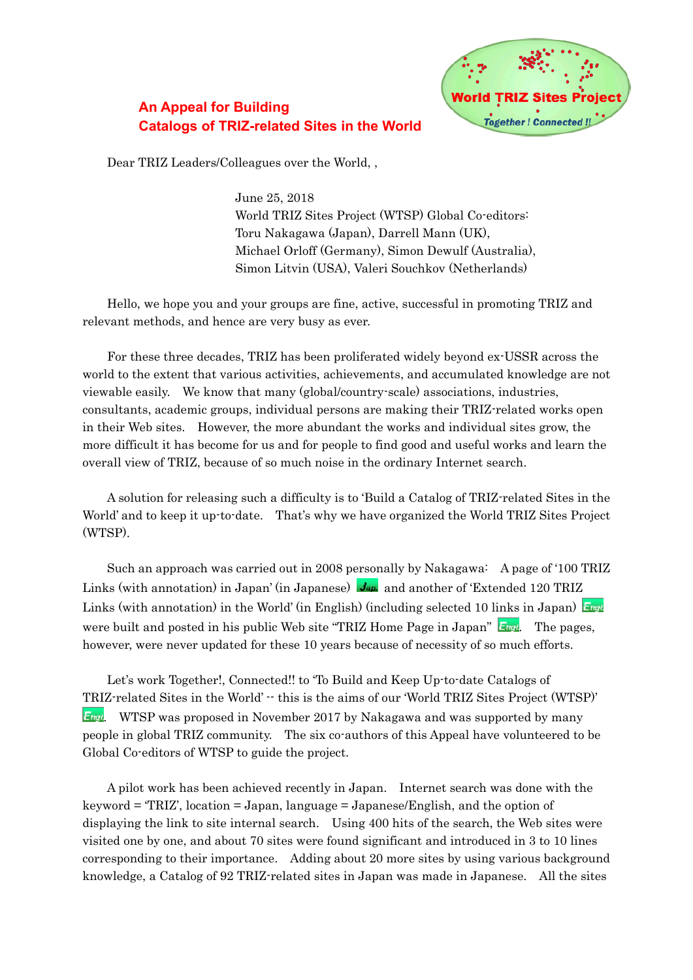## **An Appeal for Building Catalogs of TRIZ-related Sites in the World**



Dear TRIZ Leaders/Colleagues over the World, ,

 June 25, 2018 World TRIZ Sites Project (WTSP) Global Co-editors: Toru Nakagawa (Japan), Darrell Mann (UK), Michael Orloff (Germany), Simon Dewulf (Australia), Simon Litvin (USA), Valeri Souchkov (Netherlands)

Hello, we hope you and your groups are fine, active, successful in promoting TRIZ and relevant methods, and hence are very busy as ever.

For these three decades, TRIZ has been proliferated widely beyond ex-USSR across the world to the extent that various activities, achievements, and accumulated knowledge are not viewable easily. We know that many (global/country-scale) associations, industries, consultants, academic groups, individual persons are making their TRIZ-related works open in their Web sites. However, the more abundant the works and individual sites grow, the more difficult it has become for us and for people to find good and useful works and learn the overall view of TRIZ, because of so much noise in the ordinary Internet search.

A solution for releasing such a difficulty is to 'Build a Catalog of TRIZ-related Sites in the World' and to keep it up-to-date. That's why we have organized the World TRIZ Sites Project (WTSP).

Such an approach was carried out in 2008 personally by Nakagawa: A page of '100 TRIZ Links (with annotation) in Japan' (in Japanese)  $\frac{J_{\text{d}}}{\mu}$  and another of 'Extended 120 TRIZ Links (with annotation) in the World' (in English) (including selected 10 links in Japan)  $\Box$ were built and posted in his public Web site "TRIZ Home Page in Japan"  $\Box$ [.](http://www.osaka-gu.ac.jp/php/nakagawa/TRIZ/eTRIZ/) The pages, however, were never updated for these 10 years because of necessity of so much efforts.

Let's work Together!, Connected!! to 'To Build and Keep Up-to-date Catalogs of TRIZ-related Sites in the World' -- this is the aims of our 'World TRIZ Sites Project (WTSP)' **Fight**[.](http://www.osaka-gu.ac.jp/php/nakagawa/TRIZ/eTRIZ/eWTSP/eWTSP-index.html) WTSP was proposed in November 2017 by Nakagawa and was supported by many people in global TRIZ community. The six co-authors of this Appeal have volunteered to be Global Co-editors of WTSP to guide the project.

A pilot work has been achieved recently in Japan. Internet search was done with the keyword = 'TRIZ', location = Japan, language = Japanese/English, and the option of displaying the link to site internal search. Using 400 hits of the search, the Web sites were visited one by one, and about 70 sites were found significant and introduced in 3 to 10 lines corresponding to their importance. Adding about 20 more sites by using various background knowledge, a Catalog of 92 TRIZ-related sites in Japan was made in Japanese. All the sites